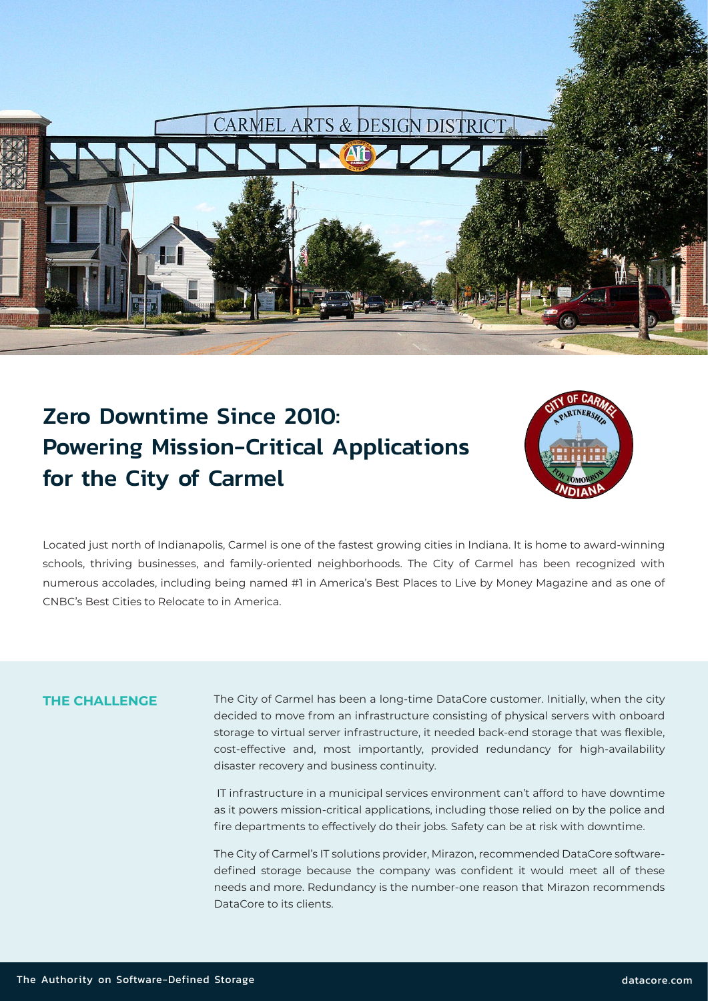

# Zero Downtime Since 2010: Powering Mission-Critical Applications for the City of Carmel



Located just north of Indianapolis, Carmel is one of the fastest growing cities in Indiana. It is home to award-winning schools, thriving businesses, and family-oriented neighborhoods. The City of Carmel has been recognized with numerous accolades, including being named #1 in America's Best Places to Live by Money Magazine and as one of CNBC's Best Cities to Relocate to in America.

#### **THE CHALLENGE**

The City of Carmel has been a long-time DataCore customer. Initially, when the city decided to move from an infrastructure consisting of physical servers with onboard storage to virtual server infrastructure, it needed back-end storage that was flexible, cost-effective and, most importantly, provided redundancy for high-availability disaster recovery and business continuity.

 IT infrastructure in a municipal services environment can't afford to have downtime as it powers mission-critical applications, including those relied on by the police and fire departments to effectively do their jobs. Safety can be at risk with downtime.

The City of Carmel's IT solutions provider, Mirazon, recommended DataCore softwaredefined storage because the company was confident it would meet all of these needs and more. Redundancy is the number-one reason that Mirazon recommends DataCore to its clients.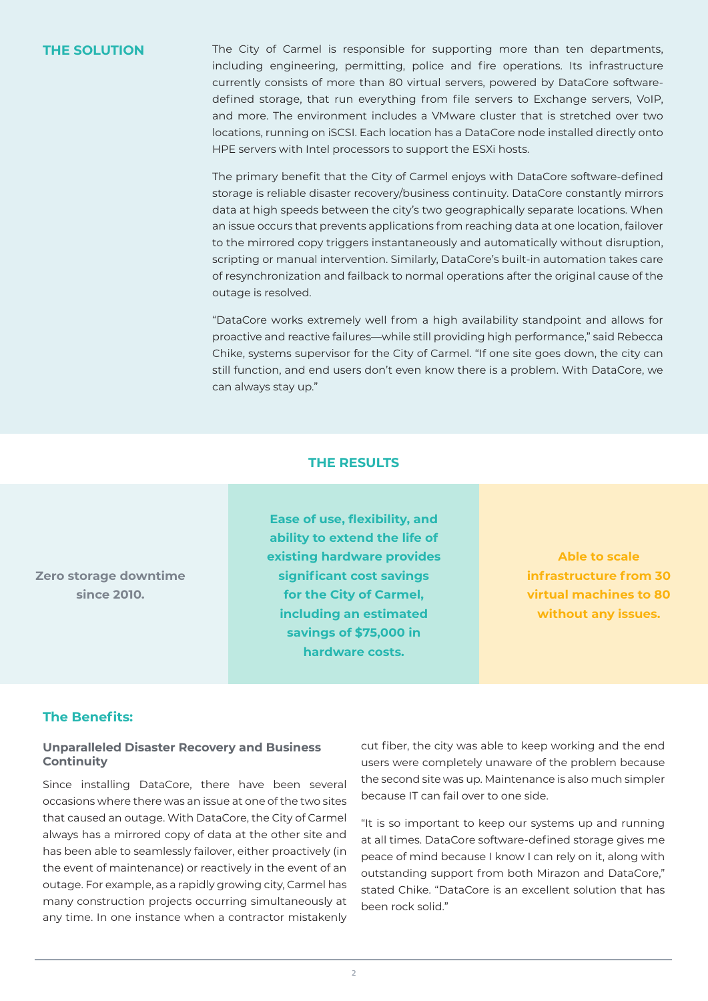**THE SOLUTION** The City of Carmel is responsible for supporting more than ten departments, including engineering, permitting, police and fire operations. Its infrastructure currently consists of more than 80 virtual servers, powered by DataCore softwaredefined storage, that run everything from file servers to Exchange servers, VoIP, and more. The environment includes a VMware cluster that is stretched over two locations, running on iSCSI. Each location has a DataCore node installed directly onto HPE servers with Intel processors to support the ESXi hosts.

> The primary benefit that the City of Carmel enjoys with DataCore software-defined storage is reliable disaster recovery/business continuity. DataCore constantly mirrors data at high speeds between the city's two geographically separate locations. When an issue occurs that prevents applications from reaching data at one location, failover to the mirrored copy triggers instantaneously and automatically without disruption, scripting or manual intervention. Similarly, DataCore's built-in automation takes care of resynchronization and failback to normal operations after the original cause of the outage is resolved.

> "DataCore works extremely well from a high availability standpoint and allows for proactive and reactive failures—while still providing high performance," said Rebecca Chike, systems supervisor for the City of Carmel. "If one site goes down, the city can still function, and end users don't even know there is a problem. With DataCore, we can always stay up."

#### **THE RESULTS**

**Zero storage downtime since 2010.**

**Ease of use, flexibility, and ability to extend the life of existing hardware provides significant cost savings for the City of Carmel, including an estimated savings of \$75,000 in hardware costs.**

**Able to scale infrastructure from 30 virtual machines to 80 without any issues.** 

### **The Benefits:**

#### **Unparalleled Disaster Recovery and Business Continuity**

Since installing DataCore, there have been several occasions where there was an issue at one of the two sites that caused an outage. With DataCore, the City of Carmel always has a mirrored copy of data at the other site and has been able to seamlessly failover, either proactively (in the event of maintenance) or reactively in the event of an outage. For example, as a rapidly growing city, Carmel has many construction projects occurring simultaneously at any time. In one instance when a contractor mistakenly

cut fiber, the city was able to keep working and the end users were completely unaware of the problem because the second site was up. Maintenance is also much simpler because IT can fail over to one side.

"It is so important to keep our systems up and running at all times. DataCore software-defined storage gives me peace of mind because I know I can rely on it, along with outstanding support from both Mirazon and DataCore," stated Chike. "DataCore is an excellent solution that has been rock solid."